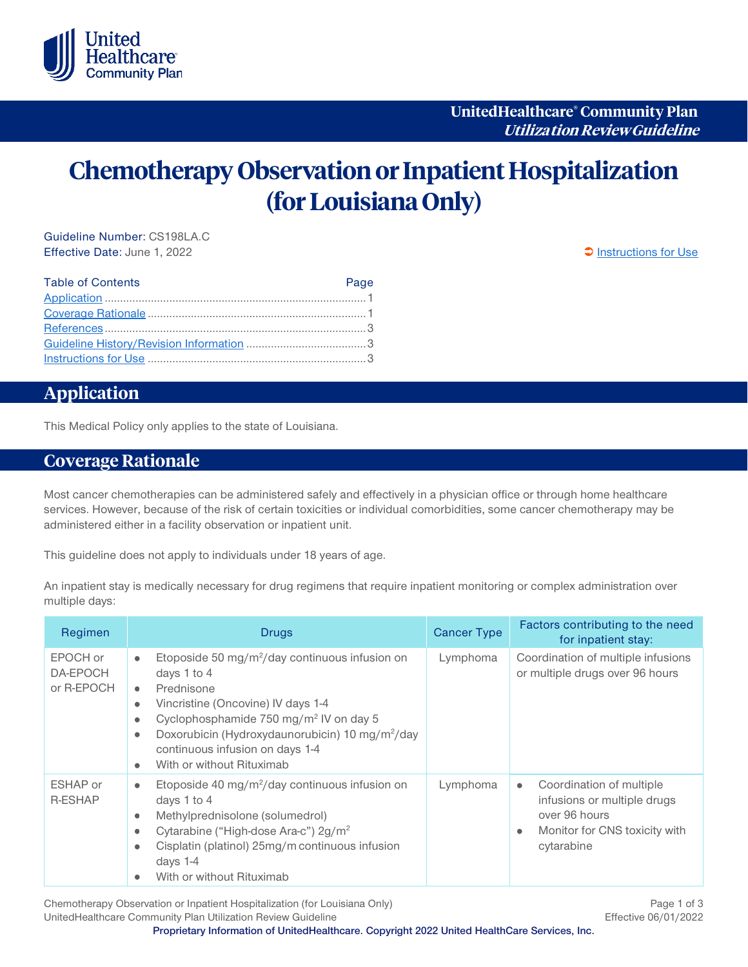

# **Chemotherapy Observation or Inpatient Hospitalization (for Louisiana Only)**

Guideline Number: CS198LA.C Effective Date: June 1, 2022 **[Instructions for Use](#page-2-0)** enterprise to the set of the set of the set of the set of the set of the set of the set of the set of the set of the set of the set of the set of the set of the set of th

| <b>Table of Contents</b> | Page |
|--------------------------|------|
|                          |      |
|                          |      |
|                          |      |
|                          |      |
|                          |      |

# <span id="page-0-0"></span>**Application**

This Medical Policy only applies to the state of Louisiana.

# <span id="page-0-1"></span>**Coverage Rationale**

Most cancer chemotherapies can be administered safely and effectively in a physician office or through home healthcare services. However, because of the risk of certain toxicities or individual comorbidities, some cancer chemotherapy may be administered either in a facility observation or inpatient unit.

This guideline does not apply to individuals under 18 years of age.

An inpatient stay is medically necessary for drug regimens that require inpatient monitoring or complex administration over multiple days:

| Regimen                            | <b>Drugs</b>                                                                                                                                                                                                                                                                                                                                                                                     | <b>Cancer Type</b> | Factors contributing to the need<br>for inpatient stay:                                                                                           |
|------------------------------------|--------------------------------------------------------------------------------------------------------------------------------------------------------------------------------------------------------------------------------------------------------------------------------------------------------------------------------------------------------------------------------------------------|--------------------|---------------------------------------------------------------------------------------------------------------------------------------------------|
| EPOCH or<br>DA-EPOCH<br>or R-EPOCH | Etoposide 50 mg/m <sup>2</sup> /day continuous infusion on<br>$\bullet$<br>days 1 to 4<br>Prednisone<br>$\bullet$<br>Vincristine (Oncovine) IV days 1-4<br>$\bullet$<br>Cyclophosphamide 750 mg/m <sup>2</sup> IV on day 5<br>$\bullet$<br>Doxorubicin (Hydroxydaunorubicin) 10 mg/m <sup>2</sup> /day<br>$\bullet$<br>continuous infusion on days 1-4<br>With or without Rituximab<br>$\bullet$ | Lymphoma           | Coordination of multiple infusions<br>or multiple drugs over 96 hours                                                                             |
| ESHAP or<br><b>R-ESHAP</b>         | Etoposide 40 mg/m <sup>2</sup> /day continuous infusion on<br>$\bullet$<br>days 1 to 4<br>Methylprednisolone (solumedrol)<br>$\bullet$<br>Cytarabine ("High-dose Ara-c") 2g/m <sup>2</sup><br>$\bullet$<br>Cisplatin (platinol) 25mg/m continuous infusion<br>$\bullet$<br>days $1-4$<br>With or without Rituximab<br>$\bullet$                                                                  | Lymphoma           | Coordination of multiple<br>$\bullet$<br>infusions or multiple drugs<br>over 96 hours<br>Monitor for CNS toxicity with<br>$\bullet$<br>cytarabine |

Chemotherapy Observation or Inpatient Hospitalization (for Louisiana Only) Chemotherapy Page 1 of 3 UnitedHealthcare Community Plan Utilization Review Guideline **Effective 06/01/2022** 

**Proprietary Information of UnitedHealthcare. Copyright 2022 United HealthCare Services, Inc.**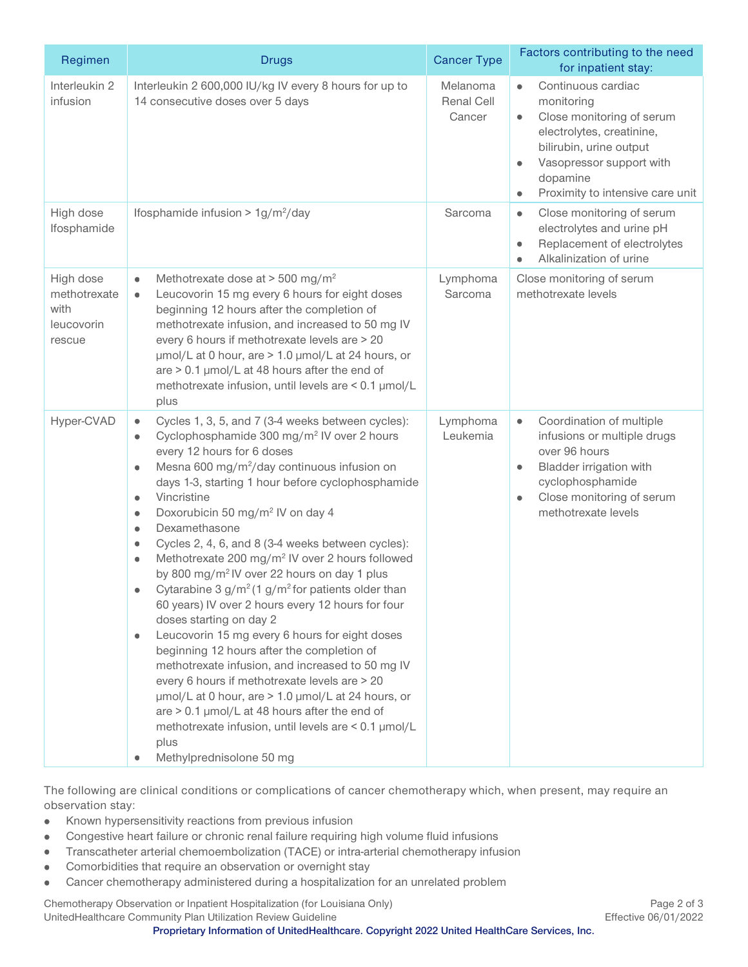| Regimen                                                   | <b>Drugs</b>                                                                                                                                                                                                                                                                                                                                                                                                                                                                                                                                                                                                                                                                                                                                                                                                                                                                                                                                                                                                                                                                                                                                                                                            | <b>Cancer Type</b>               | Factors contributing to the need<br>for inpatient stay:                                                                                                                                                                                  |
|-----------------------------------------------------------|---------------------------------------------------------------------------------------------------------------------------------------------------------------------------------------------------------------------------------------------------------------------------------------------------------------------------------------------------------------------------------------------------------------------------------------------------------------------------------------------------------------------------------------------------------------------------------------------------------------------------------------------------------------------------------------------------------------------------------------------------------------------------------------------------------------------------------------------------------------------------------------------------------------------------------------------------------------------------------------------------------------------------------------------------------------------------------------------------------------------------------------------------------------------------------------------------------|----------------------------------|------------------------------------------------------------------------------------------------------------------------------------------------------------------------------------------------------------------------------------------|
| Interleukin 2<br>infusion                                 | Interleukin 2 600,000 IU/kg IV every 8 hours for up to<br>14 consecutive doses over 5 days                                                                                                                                                                                                                                                                                                                                                                                                                                                                                                                                                                                                                                                                                                                                                                                                                                                                                                                                                                                                                                                                                                              | Melanoma<br>Renal Cell<br>Cancer | Continuous cardiac<br>$\bullet$<br>monitoring<br>Close monitoring of serum<br>$\bullet$<br>electrolytes, creatinine,<br>bilirubin, urine output<br>Vasopressor support with<br>dopamine<br>Proximity to intensive care unit<br>$\bullet$ |
| High dose<br>Ifosphamide                                  | Ifosphamide infusion > $1g/m^2$ /day                                                                                                                                                                                                                                                                                                                                                                                                                                                                                                                                                                                                                                                                                                                                                                                                                                                                                                                                                                                                                                                                                                                                                                    | Sarcoma                          | Close monitoring of serum<br>$\bullet$<br>electrolytes and urine pH<br>Replacement of electrolytes<br>$\bullet$<br>Alkalinization of urine<br>$\bullet$                                                                                  |
| High dose<br>methotrexate<br>with<br>leucovorin<br>rescue | Methotrexate dose at $>$ 500 mg/m <sup>2</sup><br>$\bullet$<br>Leucovorin 15 mg every 6 hours for eight doses<br>$\bullet$<br>beginning 12 hours after the completion of<br>methotrexate infusion, and increased to 50 mg IV<br>every 6 hours if methotrexate levels are > 20<br>umol/L at 0 hour, are > 1.0 umol/L at 24 hours, or<br>are > 0.1 µmol/L at 48 hours after the end of<br>methotrexate infusion, until levels are < 0.1 µmol/L<br>plus                                                                                                                                                                                                                                                                                                                                                                                                                                                                                                                                                                                                                                                                                                                                                    | Lymphoma<br>Sarcoma              | Close monitoring of serum<br>methotrexate levels                                                                                                                                                                                         |
| Hyper-CVAD                                                | Cycles 1, 3, 5, and 7 (3-4 weeks between cycles):<br>$\bullet$<br>Cyclophosphamide 300 mg/m <sup>2</sup> IV over 2 hours<br>$\bullet$<br>every 12 hours for 6 doses<br>Mesna 600 mg/m <sup>2</sup> /day continuous infusion on<br>$\bullet$<br>days 1-3, starting 1 hour before cyclophosphamide<br>Vincristine<br>$\bullet$<br>Doxorubicin 50 mg/m <sup>2</sup> IV on day 4<br>$\bullet$<br>Dexamethasone<br>$\bullet$<br>Cycles 2, 4, 6, and 8 (3-4 weeks between cycles):<br>۰<br>Methotrexate 200 mg/m <sup>2</sup> IV over 2 hours followed<br>$\bullet$<br>by 800 mg/m <sup>2</sup> IV over 22 hours on day 1 plus<br>Cytarabine 3 $g/m^2$ (1 $g/m^2$ for patients older than<br>$\bullet$<br>60 years) IV over 2 hours every 12 hours for four<br>doses starting on day 2<br>Leucovorin 15 mg every 6 hours for eight doses<br>$\bullet$<br>beginning 12 hours after the completion of<br>methotrexate infusion, and increased to 50 mg IV<br>every 6 hours if methotrexate levels are > 20<br>umol/L at 0 hour, are > 1.0 umol/L at 24 hours, or<br>are $> 0.1$ µmol/L at 48 hours after the end of<br>methotrexate infusion, until levels are < 0.1 µmol/L<br>plus<br>Methylprednisolone 50 mg | Lymphoma<br>Leukemia             | Coordination of multiple<br>$\bullet$<br>infusions or multiple drugs<br>over 96 hours<br>Bladder irrigation with<br>$\bullet$<br>cyclophosphamide<br>Close monitoring of serum<br>$\bullet$<br>methotrexate levels                       |

The following are clinical conditions or complications of cancer chemotherapy which, when present, may require an observation stay:

- Known hypersensitivity reactions from previous infusion  $\bullet$
- Congestive heart failure or chronic renal failure requiring high volume fluid infusions  $\bullet$
- $\bullet$ Transcatheter arterial chemoembolization (TACE) or intra-arterial chemotherapy infusion
- Comorbidities that require an observation or overnight stay  $\bullet$
- Cancer chemotherapy administered during a hospitalization for an unrelated problem $\bullet$

Chemotherapy Observation or Inpatient Hospitalization (for Louisiana Only) Page 2 of 3 UnitedHealthcare Community Plan Utilization Review Guideline Effective 06/01/2022

**Proprietary Information of UnitedHealthcare. Copyright 2022 United HealthCare Services, Inc.**